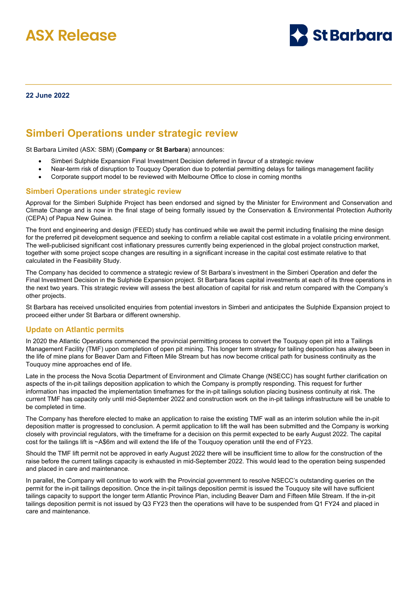



#### **22 June 2022**

# **Simberi Operations under strategic review**

St Barbara Limited (ASX: SBM) (**Company** or **St Barbara**) announces:

- Simberi Sulphide Expansion Final Investment Decision deferred in favour of a strategic review
- Near-term risk of disruption to Touquoy Operation due to potential permitting delays for tailings management facility
- Corporate support model to be reviewed with Melbourne Office to close in coming months

#### **Simberi Operations under strategic review**

Approval for the Simberi Sulphide Project has been endorsed and signed by the Minister for Environment and Conservation and Climate Change and is now in the final stage of being formally issued by the Conservation & Environmental Protection Authority (CEPA) of Papua New Guinea.

The front end engineering and design (FEED) study has continued while we await the permit including finalising the mine design for the preferred pit development sequence and seeking to confirm a reliable capital cost estimate in a volatile pricing environment. The well-publicised significant cost inflationary pressures currently being experienced in the global project construction market, together with some project scope changes are resulting in a significant increase in the capital cost estimate relative to that calculated in the Feasibility Study.

The Company has decided to commence a strategic review of St Barbara's investment in the Simberi Operation and defer the Final Investment Decision in the Sulphide Expansion project. St Barbara faces capital investments at each of its three operations in the next two years. This strategic review will assess the best allocation of capital for risk and return compared with the Company's other projects.

St Barbara has received unsolicited enquiries from potential investors in Simberi and anticipates the Sulphide Expansion project to proceed either under St Barbara or different ownership.

#### **Update on Atlantic permits**

In 2020 the Atlantic Operations commenced the provincial permitting process to convert the Touquoy open pit into a Tailings Management Facility (TMF) upon completion of open pit mining. This longer term strategy for tailing deposition has always been in the life of mine plans for Beaver Dam and Fifteen Mile Stream but has now become critical path for business continuity as the Touquoy mine approaches end of life.

Late in the process the Nova Scotia Department of Environment and Climate Change (NSECC) has sought further clarification on aspects of the in-pit tailings deposition application to which the Company is promptly responding. This request for further information has impacted the implementation timeframes for the in-pit tailings solution placing business continuity at risk. The current TMF has capacity only until mid-September 2022 and construction work on the in-pit tailings infrastructure will be unable to be completed in time.

The Company has therefore elected to make an application to raise the existing TMF wall as an interim solution while the in-pit deposition matter is progressed to conclusion. A permit application to lift the wall has been submitted and the Company is working closely with provincial regulators, with the timeframe for a decision on this permit expected to be early August 2022. The capital cost for the tailings lift is ~A\$6m and will extend the life of the Touquoy operation until the end of FY23.

Should the TMF lift permit not be approved in early August 2022 there will be insufficient time to allow for the construction of the raise before the current tailings capacity is exhausted in mid-September 2022. This would lead to the operation being suspended and placed in care and maintenance.

In parallel, the Company will continue to work with the Provincial government to resolve NSECC's outstanding queries on the permit for the in-pit tailings deposition. Once the in-pit tailings deposition permit is issued the Touquoy site will have sufficient tailings capacity to support the longer term Atlantic Province Plan, including Beaver Dam and Fifteen Mile Stream. If the in-pit tailings deposition permit is not issued by Q3 FY23 then the operations will have to be suspended from Q1 FY24 and placed in care and maintenance.